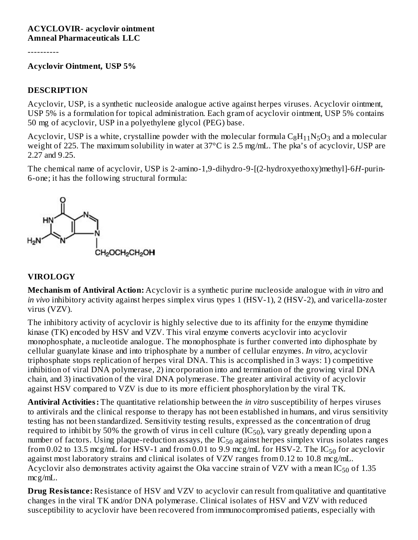#### **ACYCLOVIR- acyclovir ointment Amneal Pharmaceuticals LLC**

----------

#### **Acyclovir Ointment, USP 5%**

#### **DESCRIPTION**

Acyclovir, USP, is a synthetic nucleoside analogue active against herpes viruses. Acyclovir ointment, USP 5% is a formulation for topical administration. Each gram of acyclovir ointment, USP 5% contains 50 mg of acyclovir, USP in a polyethylene glycol (PEG) base.

Acyclovir, USP is a white, crystalline powder with the molecular formula  $\rm{C_8H_{11}N_5O_3}$  and a molecular weight of 225. The maximum solubility in water at 37°C is 2.5 mg/mL. The pka's of acyclovir, USP are 2.27 and 9.25.

The chemical name of acyclovir, USP is 2-amino-1,9-dihydro-9-[(2-hydroxyethoxy)methyl]-6*H*-purin-6-one; it has the following structural formula:



#### **VIROLOGY**

**Mechanism of Antiviral Action:** Acyclovir is a synthetic purine nucleoside analogue with *in vitro* and *in vivo* inhibitory activity against herpes simplex virus types 1 (HSV-1), 2 (HSV-2), and varicella-zoster virus (VZV).

The inhibitory activity of acyclovir is highly selective due to its affinity for the enzyme thymidine kinase (TK) encoded by HSV and VZV. This viral enzyme converts acyclovir into acyclovir monophosphate, a nucleotide analogue. The monophosphate is further converted into diphosphate by cellular guanylate kinase and into triphosphate by a number of cellular enzymes. *In vitro*, acyclovir triphosphate stops replication of herpes viral DNA. This is accomplished in 3 ways: 1) competitive inhibition of viral DNA polymerase, 2) incorporation into and termination of the growing viral DNA chain, and 3) inactivation of the viral DNA polymerase. The greater antiviral activity of acyclovir against HSV compared to VZV is due to its more efficient phosphorylation by the viral TK.

**Antiviral Activities:** The quantitative relationship between the *in vitro* susceptibility of herpes viruses to antivirals and the clinical response to therapy has not been established in humans, and virus sensitivity testing has not been standardized. Sensitivity testing results, expressed as the concentration of drug required to inhibit by 50% the growth of virus in cell culture (IC $_{50}$ ), vary greatly depending upon a number of factors. Using plaque-reduction assays, the  $IC_{50}$  against herpes simplex virus isolates ranges from 0.02 to 13.5 mcg/mL for HSV-1 and from 0.01 to 9.9 mcg/mL for HSV-2. The  $\rm IC_{50}$  for acyclovir against most laboratory strains and clinical isolates of VZV ranges from 0.12 to 10.8 mcg/mL. Acyclovir also demonstrates activity against the Oka vaccine strain of VZV with a mean IC $_{50}$  of 1.35 mcg/mL.

**Drug Resistance:** Resistance of HSV and VZV to acyclovir can result from qualitative and quantitative changes in the viral TK and/or DNA polymerase. Clinical isolates of HSV and VZV with reduced susceptibility to acyclovir have been recovered from immunocompromised patients, especially with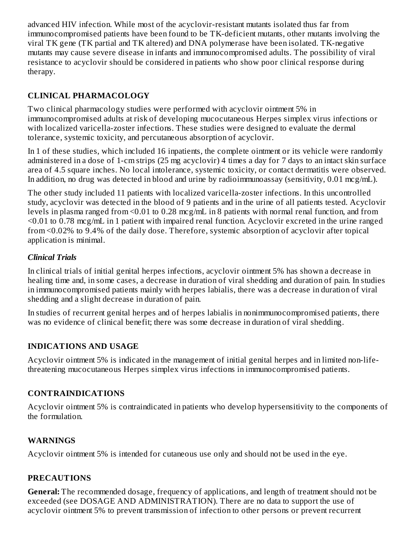advanced HIV infection. While most of the acyclovir-resistant mutants isolated thus far from immunocompromised patients have been found to be TK-deficient mutants, other mutants involving the viral TK gene (TK partial and TK altered) and DNA polymerase have been isolated. TK-negative mutants may cause severe disease in infants and immunocompromised adults. The possibility of viral resistance to acyclovir should be considered in patients who show poor clinical response during therapy.

#### **CLINICAL PHARMACOLOGY**

Two clinical pharmacology studies were performed with acyclovir ointment 5% in immunocompromised adults at risk of developing mucocutaneous Herpes simplex virus infections or with localized varicella-zoster infections. These studies were designed to evaluate the dermal tolerance, systemic toxicity, and percutaneous absorption of acyclovir.

In 1 of these studies, which included 16 inpatients, the complete ointment or its vehicle were randomly administered in a dose of 1-cm strips (25 mg acyclovir) 4 times a day for 7 days to an intact skin surface area of 4.5 square inches. No local intolerance, systemic toxicity, or contact dermatitis were observed. In addition, no drug was detected in blood and urine by radioimmunoassay (sensitivity, 0.01 mcg/mL).

The other study included 11 patients with localized varicella-zoster infections. In this uncontrolled study, acyclovir was detected in the blood of 9 patients and in the urine of all patients tested. Acyclovir levels in plasma ranged from <0.01 to 0.28 mcg/mL in 8 patients with normal renal function, and from <0.01 to 0.78 mcg/mL in 1 patient with impaired renal function. Acyclovir excreted in the urine ranged from <0.02% to 9.4% of the daily dose. Therefore, systemic absorption of acyclovir after topical application is minimal.

#### *Clinical Trials*

In clinical trials of initial genital herpes infections, acyclovir ointment 5% has shown a decrease in healing time and, in some cases, a decrease in duration of viral shedding and duration of pain. In studies in immunocompromised patients mainly with herpes labialis, there was a decrease in duration of viral shedding and a slight decrease in duration of pain.

In studies of recurrent genital herpes and of herpes labialis in nonimmunocompromised patients, there was no evidence of clinical benefit; there was some decrease in duration of viral shedding.

#### **INDICATIONS AND USAGE**

Acyclovir ointment 5% is indicated in the management of initial genital herpes and in limited non-lifethreatening mucocutaneous Herpes simplex virus infections in immunocompromised patients.

#### **CONTRAINDICATIONS**

Acyclovir ointment 5% is contraindicated in patients who develop hypersensitivity to the components of the formulation.

#### **WARNINGS**

Acyclovir ointment 5% is intended for cutaneous use only and should not be used in the eye.

#### **PRECAUTIONS**

**General:** The recommended dosage, frequency of applications, and length of treatment should not be exceeded (see DOSAGE AND ADMINISTRATION). There are no data to support the use of acyclovir ointment 5% to prevent transmission of infection to other persons or prevent recurrent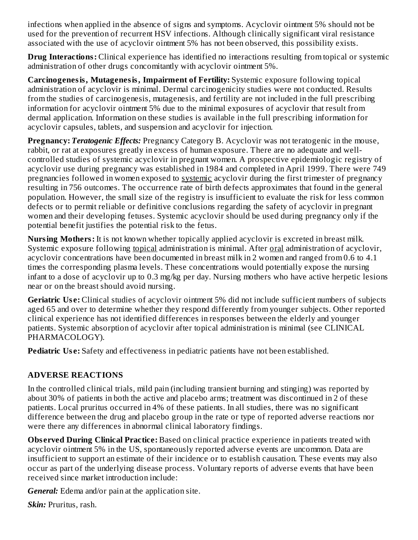infections when applied in the absence of signs and symptoms. Acyclovir ointment 5% should not be used for the prevention of recurrent HSV infections. Although clinically significant viral resistance associated with the use of acyclovir ointment 5% has not been observed, this possibility exists.

**Drug Interactions:** Clinical experience has identified no interactions resulting from topical or systemic administration of other drugs concomitantly with acyclovir ointment 5%.

**Carcinogenesis, Mutagenesis, Impairment of Fertility:** Systemic exposure following topical administration of acyclovir is minimal. Dermal carcinogenicity studies were not conducted. Results from the studies of carcinogenesis, mutagenesis, and fertility are not included in the full prescribing information for acyclovir ointment 5% due to the minimal exposures of acyclovir that result from dermal application. Information on these studies is available in the full prescribing information for acyclovir capsules, tablets, and suspension and acyclovir for injection.

**Pregnancy:** *Teratogenic Effects:* Pregnancy Category B. Acyclovir was not teratogenic in the mouse, rabbit, or rat at exposures greatly in excess of human exposure. There are no adequate and wellcontrolled studies of systemic acyclovir in pregnant women. A prospective epidemiologic registry of acyclovir use during pregnancy was established in 1984 and completed in April 1999. There were 749 pregnancies followed in women exposed to systemic acyclovir during the first trimester of pregnancy resulting in 756 outcomes. The occurrence rate of birth defects approximates that found in the general population. However, the small size of the registry is insufficient to evaluate the risk for less common defects or to permit reliable or definitive conclusions regarding the safety of acyclovir in pregnant women and their developing fetuses. Systemic acyclovir should be used during pregnancy only if the potential benefit justifies the potential risk to the fetus.

**Nursing Mothers:** It is not known whether topically applied acyclovir is excreted in breast milk. Systemic exposure following topical administration is minimal. After oral administration of acyclovir, acyclovir concentrations have been documented in breast milk in 2 women and ranged from 0.6 to 4.1 times the corresponding plasma levels. These concentrations would potentially expose the nursing infant to a dose of acyclovir up to 0.3 mg/kg per day. Nursing mothers who have active herpetic lesions near or on the breast should avoid nursing.

**Geriatric Us e:** Clinical studies of acyclovir ointment 5% did not include sufficient numbers of subjects aged 65 and over to determine whether they respond differently from younger subjects. Other reported clinical experience has not identified differences in responses between the elderly and younger patients. Systemic absorption of acyclovir after topical administration is minimal (see CLINICAL PHARMACOLOGY).

**Pediatric Use:** Safety and effectiveness in pediatric patients have not been established.

#### **ADVERSE REACTIONS**

In the controlled clinical trials, mild pain (including transient burning and stinging) was reported by about 30% of patients in both the active and placebo arms; treatment was discontinued in 2 of these patients. Local pruritus occurred in 4% of these patients. In all studies, there was no significant difference between the drug and placebo group in the rate or type of reported adverse reactions nor were there any differences in abnormal clinical laboratory findings.

**Obs erved During Clinical Practice:** Based on clinical practice experience in patients treated with acyclovir ointment 5% in the US, spontaneously reported adverse events are uncommon. Data are insufficient to support an estimate of their incidence or to establish causation. These events may also occur as part of the underlying disease process. Voluntary reports of adverse events that have been received since market introduction include:

*General:* Edema and/or pain at the application site.

*Skin:* Pruritus, rash.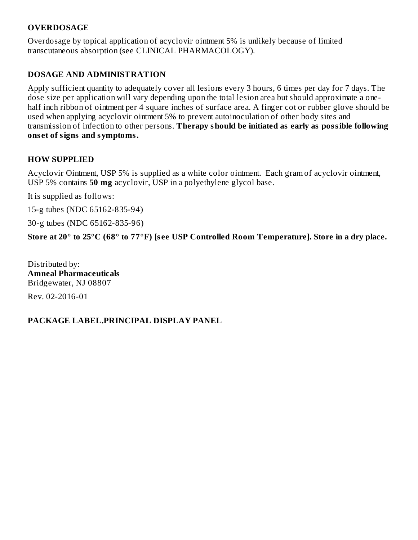#### **OVERDOSAGE**

Overdosage by topical application of acyclovir ointment 5% is unlikely because of limited transcutaneous absorption (see CLINICAL PHARMACOLOGY).

#### **DOSAGE AND ADMINISTRATION**

Apply sufficient quantity to adequately cover all lesions every 3 hours, 6 times per day for 7 days. The dose size per application will vary depending upon the total lesion area but should approximate a onehalf inch ribbon of ointment per 4 square inches of surface area. A finger cot or rubber glove should be used when applying acyclovir ointment 5% to prevent autoinoculation of other body sites and transmission of infection to other persons. **Therapy should be initiated as early as possible following ons et of signs and symptoms.**

#### **HOW SUPPLIED**

Acyclovir Ointment, USP 5% is supplied as a white color ointment. Each gram of acyclovir ointment, USP 5% contains **50 mg** acyclovir, USP in a polyethylene glycol base.

It is supplied as follows:

15-g tubes (NDC 65162-835-94)

30-g tubes (NDC 65162-835-96)

Store at 20° to 25°C (68° to 77°F) [see USP Controlled Room Temperature]. Store in a dry place.

Distributed by: **Amneal Pharmaceuticals** Bridgewater, NJ 08807 Rev. 02-2016-01

#### **PACKAGE LABEL.PRINCIPAL DISPLAY PANEL**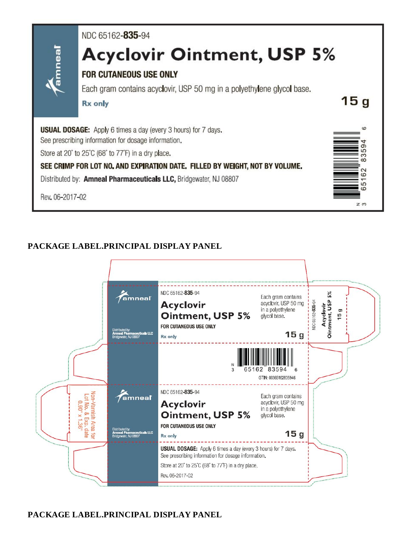

#### **PACKAGE LABEL.PRINCIPAL DISPLAY PANEL**

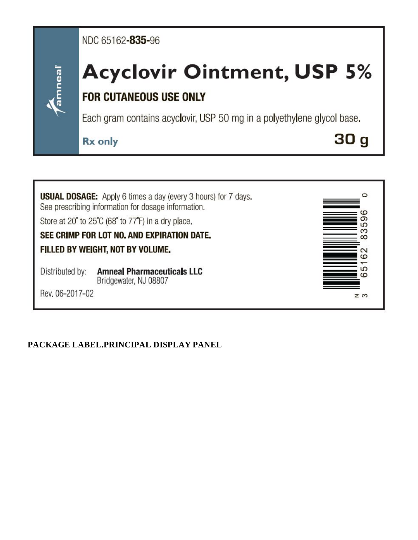### NDC 65162-835-96

# **Acyclovir Ointment, USP 5%**

## **FOR CUTANEOUS USE ONLY**

Each gram contains acyclovir, USP 50 mg in a polyethylene glycol base.

**Rx** only

 $30<sub>g</sub>$ 



Rev. 06-2017-02

amnea

#### **PACKAGE LABEL.PRINCIPAL DISPLAY PANEL**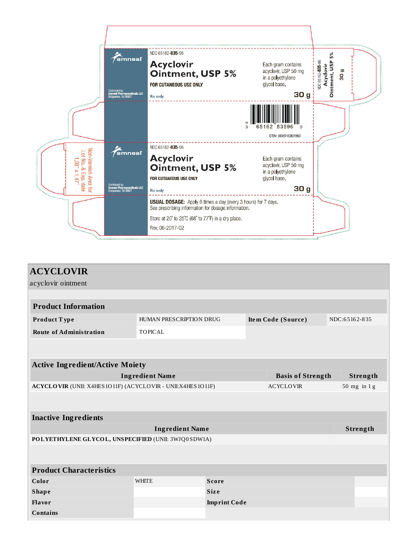

| <b>ACYCLOVIR</b><br>acyclovir ointment                                         |                         |                     |                    |  |  |               |  |  |
|--------------------------------------------------------------------------------|-------------------------|---------------------|--------------------|--|--|---------------|--|--|
|                                                                                |                         |                     |                    |  |  |               |  |  |
| <b>Product Information</b>                                                     |                         |                     |                    |  |  |               |  |  |
| Product Type                                                                   | HUMAN PRESCRIPTION DRUG |                     | Item Code (Source) |  |  | NDC:65162-835 |  |  |
| <b>Route of Administration</b>                                                 | <b>TOPICAL</b>          |                     |                    |  |  |               |  |  |
|                                                                                |                         |                     |                    |  |  |               |  |  |
|                                                                                |                         |                     |                    |  |  |               |  |  |
| <b>Active Ingredient/Active Moiety</b>                                         |                         |                     |                    |  |  |               |  |  |
| <b>Ingredient Name</b><br><b>Basis of Strength</b>                             |                         |                     |                    |  |  | Strength      |  |  |
| ACYCLOVIR (UNII: X4HES1O11F) (ACYCLOVIR - UNII:X4HES1O11F)<br><b>ACYCLOVIR</b> |                         |                     |                    |  |  | 50 mg in $1g$ |  |  |
|                                                                                |                         |                     |                    |  |  |               |  |  |
| <b>Inactive Ingredients</b>                                                    |                         |                     |                    |  |  |               |  |  |
| <b>Ingredient Name</b>                                                         |                         |                     |                    |  |  | Strength      |  |  |
| POLYETHYLENE GLYCOL, UNSPECIFIED (UNII: 3WJQ0SDW1A)                            |                         |                     |                    |  |  |               |  |  |
|                                                                                |                         |                     |                    |  |  |               |  |  |
| <b>Product Characteristics</b>                                                 |                         |                     |                    |  |  |               |  |  |
| Color                                                                          | <b>WHITE</b>            | <b>Score</b>        |                    |  |  |               |  |  |
| <b>Shape</b>                                                                   |                         | <b>Size</b>         |                    |  |  |               |  |  |
| Flavor                                                                         |                         | <b>Imprint Code</b> |                    |  |  |               |  |  |
| <b>Contains</b>                                                                |                         |                     |                    |  |  |               |  |  |